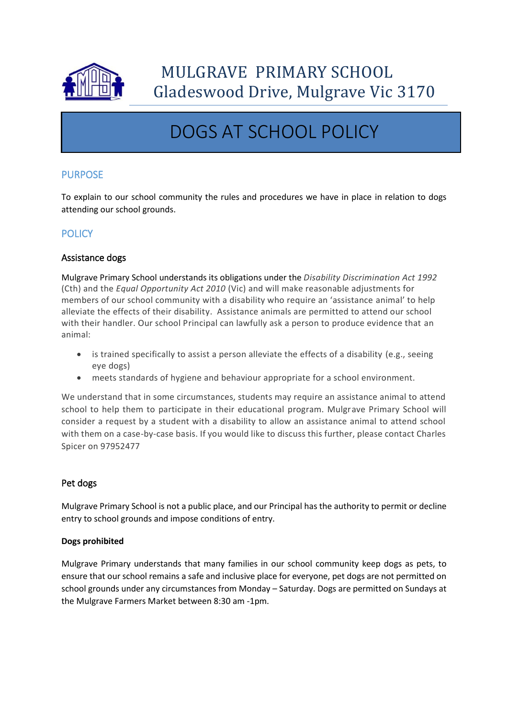

# DOGS AT SCHOOL POLICY

## PURPOSE

To explain to our school community the rules and procedures we have in place in relation to dogs attending our school grounds.

## **POLICY**

#### Assistance dogs

Mulgrave Primary School understands its obligations under the *Disability Discrimination Act 1992*  (Cth) and the *Equal Opportunity Act 2010* (Vic) and will make reasonable adjustments for members of our school community with a disability who require an 'assistance animal' to help alleviate the effects of their disability. Assistance animals are permitted to attend our school with their handler. Our school Principal can lawfully ask a person to produce evidence that an animal:

- is trained specifically to assist a person alleviate the effects of a disability (e.g., seeing eye dogs)
- meets standards of hygiene and behaviour appropriate for a school environment.

We understand that in some circumstances, students may require an assistance animal to attend school to help them to participate in their educational program. Mulgrave Primary School will consider a request by a student with a disability to allow an assistance animal to attend school with them on a case-by-case basis. If you would like to discuss this further, please contact Charles Spicer on 97952477

### Pet dogs

Mulgrave Primary School is not a public place, and our Principal has the authority to permit or decline entry to school grounds and impose conditions of entry.

#### **Dogs prohibited**

Mulgrave Primary understands that many families in our school community keep dogs as pets, to ensure that our school remains a safe and inclusive place for everyone, pet dogs are not permitted on school grounds under any circumstances from Monday – Saturday. Dogs are permitted on Sundays at the Mulgrave Farmers Market between 8:30 am -1pm.